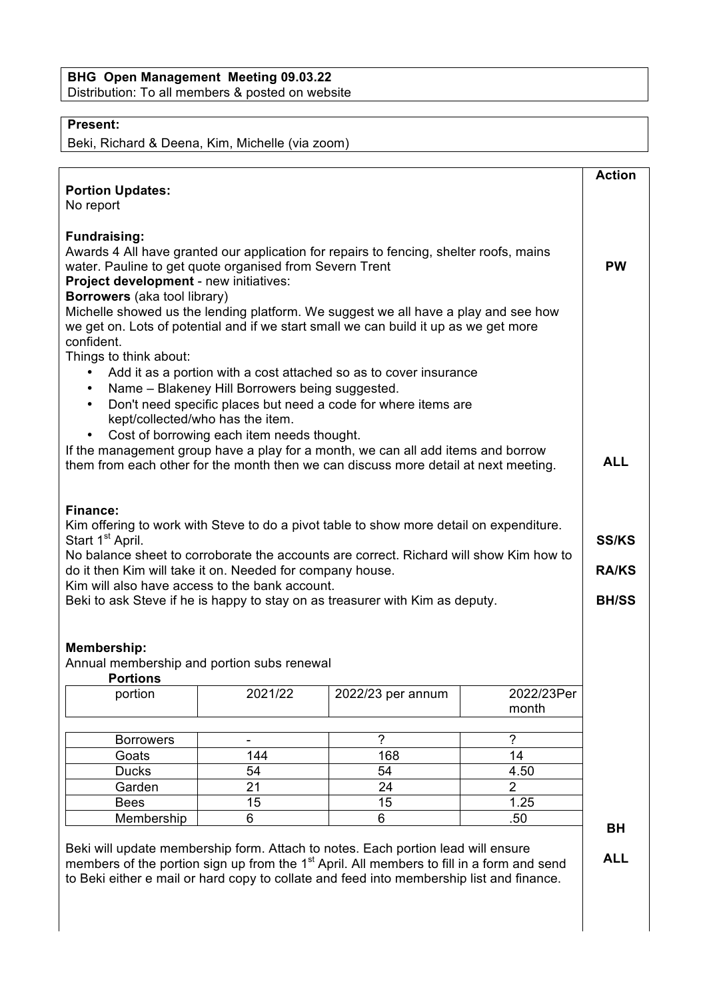## **BHG Open Management Meeting 09.03.22** Distribution: To all members & posted on website

## **Present:**

Beki, Richard & Deena, Kim, Michelle (via zoom)

| <b>Portion Updates:</b><br>No report                                                                                                                                                                                                                                                                                                                                                                                             |                                                                                     |                                                                                                                                                                                           |                       | <b>Action</b>                |
|----------------------------------------------------------------------------------------------------------------------------------------------------------------------------------------------------------------------------------------------------------------------------------------------------------------------------------------------------------------------------------------------------------------------------------|-------------------------------------------------------------------------------------|-------------------------------------------------------------------------------------------------------------------------------------------------------------------------------------------|-----------------------|------------------------------|
| <b>Fundraising:</b><br>Awards 4 All have granted our application for repairs to fencing, shelter roofs, mains<br>water. Pauline to get quote organised from Severn Trent<br>Project development - new initiatives:<br>Borrowers (aka tool library)<br>Michelle showed us the lending platform. We suggest we all have a play and see how<br>we get on. Lots of potential and if we start small we can build it up as we get more |                                                                                     |                                                                                                                                                                                           |                       |                              |
| confident.<br>Things to think about:<br>$\bullet$<br>$\bullet$                                                                                                                                                                                                                                                                                                                                                                   | Name - Blakeney Hill Borrowers being suggested.<br>kept/collected/who has the item. | Add it as a portion with a cost attached so as to cover insurance<br>Don't need specific places but need a code for where items are                                                       |                       |                              |
| Cost of borrowing each item needs thought.<br>$\bullet$<br>If the management group have a play for a month, we can all add items and borrow<br>them from each other for the month then we can discuss more detail at next meeting.                                                                                                                                                                                               |                                                                                     |                                                                                                                                                                                           |                       |                              |
| Finance:<br>Kim offering to work with Steve to do a pivot table to show more detail on expenditure.<br>Start 1 <sup>st</sup> April.<br>No balance sheet to corroborate the accounts are correct. Richard will show Kim how to                                                                                                                                                                                                    |                                                                                     |                                                                                                                                                                                           |                       |                              |
| do it then Kim will take it on. Needed for company house.<br>Kim will also have access to the bank account.<br>Beki to ask Steve if he is happy to stay on as treasurer with Kim as deputy.                                                                                                                                                                                                                                      |                                                                                     |                                                                                                                                                                                           |                       | <b>RA/KS</b><br><b>BH/SS</b> |
| <b>Membership:</b><br>Annual membership and portion subs renewal<br><b>Portions</b>                                                                                                                                                                                                                                                                                                                                              |                                                                                     |                                                                                                                                                                                           |                       |                              |
| portion                                                                                                                                                                                                                                                                                                                                                                                                                          | 2021/22                                                                             | 2022/23 per annum                                                                                                                                                                         | 2022/23Per<br>month   |                              |
| <b>Borrowers</b>                                                                                                                                                                                                                                                                                                                                                                                                                 |                                                                                     | $\overline{2}$                                                                                                                                                                            | $\boldsymbol{\gamma}$ |                              |
| Goats                                                                                                                                                                                                                                                                                                                                                                                                                            | 144                                                                                 | 168                                                                                                                                                                                       | 14                    |                              |
| <b>Ducks</b>                                                                                                                                                                                                                                                                                                                                                                                                                     | 54                                                                                  | 54                                                                                                                                                                                        | 4.50                  |                              |
| Garden                                                                                                                                                                                                                                                                                                                                                                                                                           | 21                                                                                  | 24                                                                                                                                                                                        | $\overline{2}$        |                              |
| <b>Bees</b>                                                                                                                                                                                                                                                                                                                                                                                                                      | 15                                                                                  | 15                                                                                                                                                                                        | 1.25                  |                              |
| Membership                                                                                                                                                                                                                                                                                                                                                                                                                       | 6                                                                                   | 6                                                                                                                                                                                         | .50                   |                              |
|                                                                                                                                                                                                                                                                                                                                                                                                                                  |                                                                                     | Beki will update membership form. Attach to notes. Each portion lead will ensure<br>members of the portion sign up from the 1 <sup>st</sup> April. All members to fill in a form and send |                       | <b>BH</b><br><b>ALL</b>      |

members of the portion sign up from the  $1^{\circ}$  April. All members to fill in a form and send to Beki either e mail or hard copy to collate and feed into membership list and finance.